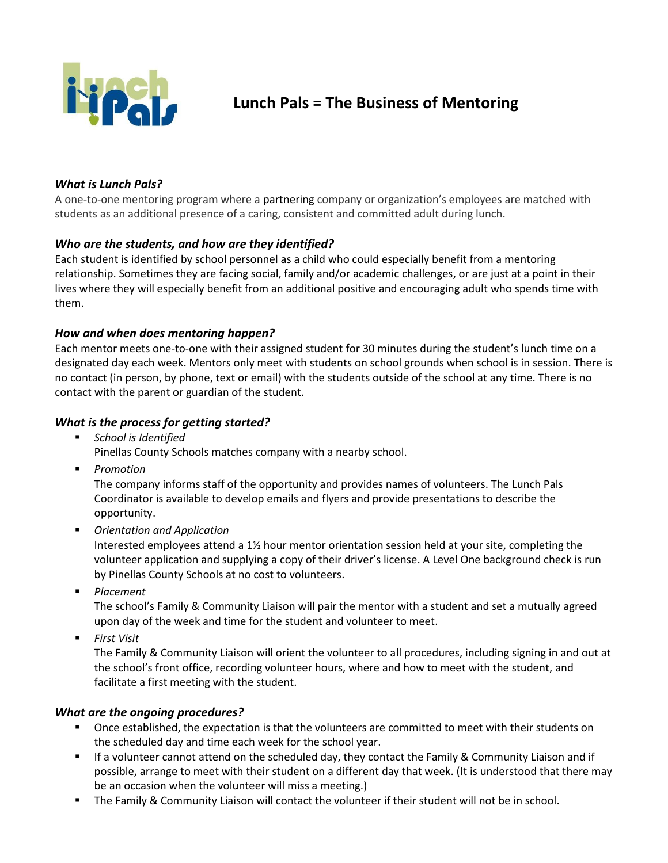

# **Lunch Pals = The Business of Mentoring**

# *What is Lunch Pals?*

A one-to-one mentoring program where a partnering company or organization's employees are matched with students as an additional presence of a caring, consistent and committed adult during lunch.

### *Who are the students, and how are they identified?*

Each student is identified by school personnel as a child who could especially benefit from a mentoring relationship. Sometimes they are facing social, family and/or academic challenges, or are just at a point in their lives where they will especially benefit from an additional positive and encouraging adult who spends time with them.

### *How and when does mentoring happen?*

Each mentor meets one-to-one with their assigned student for 30 minutes during the student's lunch time on a designated day each week. Mentors only meet with students on school grounds when school is in session. There is no contact (in person, by phone, text or email) with the students outside of the school at any time. There is no contact with the parent or guardian of the student.

### *What is the process for getting started?*

*School is Identified*

Pinellas County Schools matches company with a nearby school.

*Promotion*

The company informs staff of the opportunity and provides names of volunteers. The Lunch Pals Coordinator is available to develop emails and flyers and provide presentations to describe the opportunity.

*Orientation and Application*

Interested employees attend a 1½ hour mentor orientation session held at your site, completing the volunteer application and supplying a copy of their driver's license. A Level One background check is run by Pinellas County Schools at no cost to volunteers.

*Placement*

The school's Family & Community Liaison will pair the mentor with a student and set a mutually agreed upon day of the week and time for the student and volunteer to meet.

*First Visit*

The Family & Community Liaison will orient the volunteer to all procedures, including signing in and out at the school's front office, recording volunteer hours, where and how to meet with the student, and facilitate a first meeting with the student.

# *What are the ongoing procedures?*

- Once established, the expectation is that the volunteers are committed to meet with their students on the scheduled day and time each week for the school year.
- If a volunteer cannot attend on the scheduled day, they contact the Family & Community Liaison and if possible, arrange to meet with their student on a different day that week. (It is understood that there may be an occasion when the volunteer will miss a meeting.)
- The Family & Community Liaison will contact the volunteer if their student will not be in school.